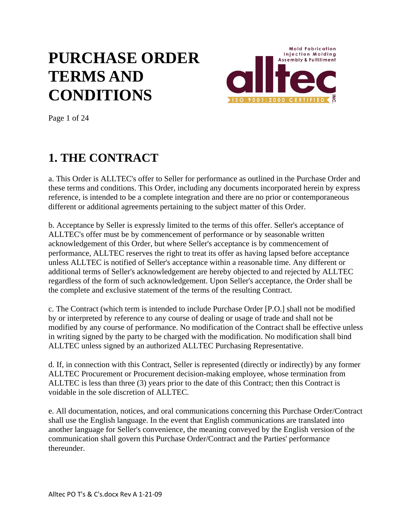# **PURCHASE ORDER TERMS AND CONDITIONS**



Page 1 of 24

# **1. THE CONTRACT**

a. This Order is ALLTEC's offer to Seller for performance as outlined in the Purchase Order and these terms and conditions. This Order, including any documents incorporated herein by express reference, is intended to be a complete integration and there are no prior or contemporaneous different or additional agreements pertaining to the subject matter of this Order.

b. Acceptance by Seller is expressly limited to the terms of this offer. Seller's acceptance of ALLTEC's offer must be by commencement of performance or by seasonable written acknowledgement of this Order, but where Seller's acceptance is by commencement of performance, ALLTEC reserves the right to treat its offer as having lapsed before acceptance unless ALLTEC is notified of Seller's acceptance within a reasonable time. Any different or additional terms of Seller's acknowledgement are hereby objected to and rejected by ALLTEC regardless of the form of such acknowledgement. Upon Seller's acceptance, the Order shall be the complete and exclusive statement of the terms of the resulting Contract.

c. The Contract (which term is intended to include Purchase Order [P.O.] shall not be modified by or interpreted by reference to any course of dealing or usage of trade and shall not be modified by any course of performance. No modification of the Contract shall be effective unless in writing signed by the party to be charged with the modification. No modification shall bind ALLTEC unless signed by an authorized ALLTEC Purchasing Representative.

d. If, in connection with this Contract, Seller is represented (directly or indirectly) by any former ALLTEC Procurement or Procurement decision-making employee, whose termination from ALLTEC is less than three (3) years prior to the date of this Contract; then this Contract is voidable in the sole discretion of ALLTEC.

e. All documentation, notices, and oral communications concerning this Purchase Order/Contract shall use the English language. In the event that English communications are translated into another language for Seller's convenience, the meaning conveyed by the English version of the communication shall govern this Purchase Order/Contract and the Parties' performance thereunder.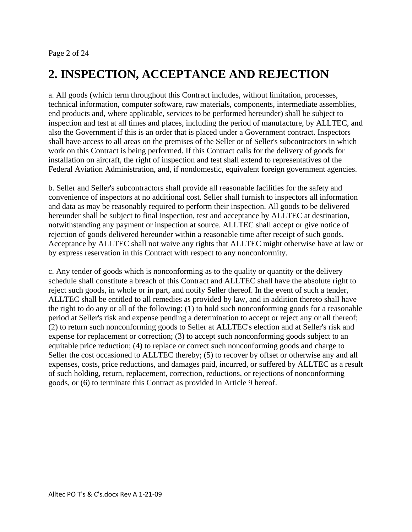# **2. INSPECTION, ACCEPTANCE AND REJECTION**

a. All goods (which term throughout this Contract includes, without limitation, processes, technical information, computer software, raw materials, components, intermediate assemblies, end products and, where applicable, services to be performed hereunder) shall be subject to inspection and test at all times and places, including the period of manufacture, by ALLTEC, and also the Government if this is an order that is placed under a Government contract. Inspectors shall have access to all areas on the premises of the Seller or of Seller's subcontractors in which work on this Contract is being performed. If this Contract calls for the delivery of goods for installation on aircraft, the right of inspection and test shall extend to representatives of the Federal Aviation Administration, and, if nondomestic, equivalent foreign government agencies.

b. Seller and Seller's subcontractors shall provide all reasonable facilities for the safety and convenience of inspectors at no additional cost. Seller shall furnish to inspectors all information and data as may be reasonably required to perform their inspection. All goods to be delivered hereunder shall be subject to final inspection, test and acceptance by ALLTEC at destination, notwithstanding any payment or inspection at source. ALLTEC shall accept or give notice of rejection of goods delivered hereunder within a reasonable time after receipt of such goods. Acceptance by ALLTEC shall not waive any rights that ALLTEC might otherwise have at law or by express reservation in this Contract with respect to any nonconformity.

c. Any tender of goods which is nonconforming as to the quality or quantity or the delivery schedule shall constitute a breach of this Contract and ALLTEC shall have the absolute right to reject such goods, in whole or in part, and notify Seller thereof. In the event of such a tender, ALLTEC shall be entitled to all remedies as provided by law, and in addition thereto shall have the right to do any or all of the following: (1) to hold such nonconforming goods for a reasonable period at Seller's risk and expense pending a determination to accept or reject any or all thereof; (2) to return such nonconforming goods to Seller at ALLTEC's election and at Seller's risk and expense for replacement or correction; (3) to accept such nonconforming goods subject to an equitable price reduction; (4) to replace or correct such nonconforming goods and charge to Seller the cost occasioned to ALLTEC thereby; (5) to recover by offset or otherwise any and all expenses, costs, price reductions, and damages paid, incurred, or suffered by ALLTEC as a result of such holding, return, replacement, correction, reductions, or rejections of nonconforming goods, or (6) to terminate this Contract as provided in Article 9 hereof.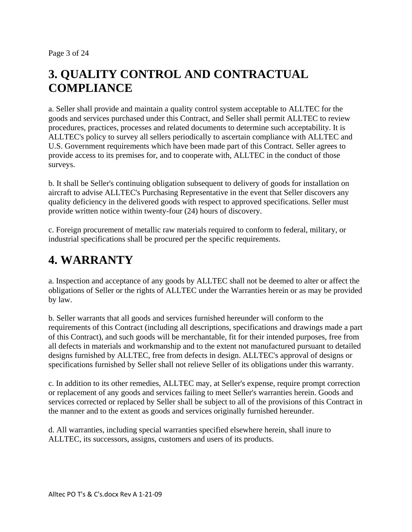Page 3 of 24

# **3. QUALITY CONTROL AND CONTRACTUAL COMPLIANCE**

a. Seller shall provide and maintain a quality control system acceptable to ALLTEC for the goods and services purchased under this Contract, and Seller shall permit ALLTEC to review procedures, practices, processes and related documents to determine such acceptability. It is ALLTEC's policy to survey all sellers periodically to ascertain compliance with ALLTEC and U.S. Government requirements which have been made part of this Contract. Seller agrees to provide access to its premises for, and to cooperate with, ALLTEC in the conduct of those surveys.

b. It shall be Seller's continuing obligation subsequent to delivery of goods for installation on aircraft to advise ALLTEC's Purchasing Representative in the event that Seller discovers any quality deficiency in the delivered goods with respect to approved specifications. Seller must provide written notice within twenty-four (24) hours of discovery.

c. Foreign procurement of metallic raw materials required to conform to federal, military, or industrial specifications shall be procured per the specific requirements.

#### **4. WARRANTY**

a. Inspection and acceptance of any goods by ALLTEC shall not be deemed to alter or affect the obligations of Seller or the rights of ALLTEC under the Warranties herein or as may be provided by law.

b. Seller warrants that all goods and services furnished hereunder will conform to the requirements of this Contract (including all descriptions, specifications and drawings made a part of this Contract), and such goods will be merchantable, fit for their intended purposes, free from all defects in materials and workmanship and to the extent not manufactured pursuant to detailed designs furnished by ALLTEC, free from defects in design. ALLTEC's approval of designs or specifications furnished by Seller shall not relieve Seller of its obligations under this warranty.

c. In addition to its other remedies, ALLTEC may, at Seller's expense, require prompt correction or replacement of any goods and services failing to meet Seller's warranties herein. Goods and services corrected or replaced by Seller shall be subject to all of the provisions of this Contract in the manner and to the extent as goods and services originally furnished hereunder.

d. All warranties, including special warranties specified elsewhere herein, shall inure to ALLTEC, its successors, assigns, customers and users of its products.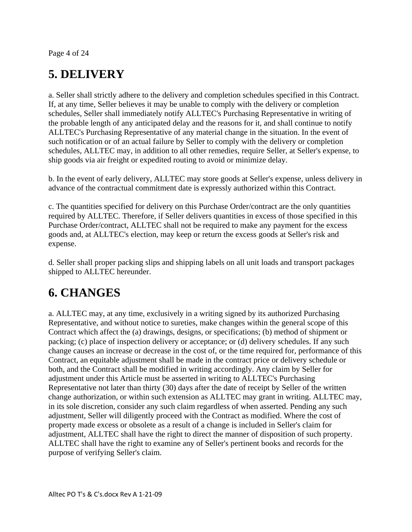Page 4 of 24

# **5. DELIVERY**

a. Seller shall strictly adhere to the delivery and completion schedules specified in this Contract. If, at any time, Seller believes it may be unable to comply with the delivery or completion schedules, Seller shall immediately notify ALLTEC's Purchasing Representative in writing of the probable length of any anticipated delay and the reasons for it, and shall continue to notify ALLTEC's Purchasing Representative of any material change in the situation. In the event of such notification or of an actual failure by Seller to comply with the delivery or completion schedules, ALLTEC may, in addition to all other remedies, require Seller, at Seller's expense, to ship goods via air freight or expedited routing to avoid or minimize delay.

b. In the event of early delivery, ALLTEC may store goods at Seller's expense, unless delivery in advance of the contractual commitment date is expressly authorized within this Contract.

c. The quantities specified for delivery on this Purchase Order/contract are the only quantities required by ALLTEC. Therefore, if Seller delivers quantities in excess of those specified in this Purchase Order/contract, ALLTEC shall not be required to make any payment for the excess goods and, at ALLTEC's election, may keep or return the excess goods at Seller's risk and expense.

d. Seller shall proper packing slips and shipping labels on all unit loads and transport packages shipped to ALLTEC hereunder.

# **6. CHANGES**

a. ALLTEC may, at any time, exclusively in a writing signed by its authorized Purchasing Representative, and without notice to sureties, make changes within the general scope of this Contract which affect the (a) drawings, designs, or specifications; (b) method of shipment or packing; (c) place of inspection delivery or acceptance; or (d) delivery schedules. If any such change causes an increase or decrease in the cost of, or the time required for, performance of this Contract, an equitable adjustment shall be made in the contract price or delivery schedule or both, and the Contract shall be modified in writing accordingly. Any claim by Seller for adjustment under this Article must be asserted in writing to ALLTEC's Purchasing Representative not later than thirty (30) days after the date of receipt by Seller of the written change authorization, or within such extension as ALLTEC may grant in writing. ALLTEC may, in its sole discretion, consider any such claim regardless of when asserted. Pending any such adjustment, Seller will diligently proceed with the Contract as modified. Where the cost of property made excess or obsolete as a result of a change is included in Seller's claim for adjustment, ALLTEC shall have the right to direct the manner of disposition of such property. ALLTEC shall have the right to examine any of Seller's pertinent books and records for the purpose of verifying Seller's claim.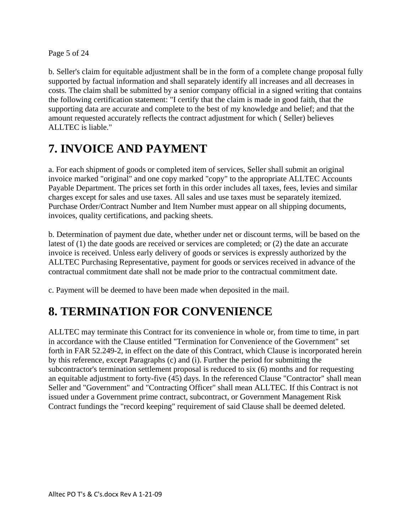Page 5 of 24

b. Seller's claim for equitable adjustment shall be in the form of a complete change proposal fully supported by factual information and shall separately identify all increases and all decreases in costs. The claim shall be submitted by a senior company official in a signed writing that contains the following certification statement: "I certify that the claim is made in good faith, that the supporting data are accurate and complete to the best of my knowledge and belief; and that the amount requested accurately reflects the contract adjustment for which ( Seller) believes ALLTEC is liable."

#### **7. INVOICE AND PAYMENT**

a. For each shipment of goods or completed item of services, Seller shall submit an original invoice marked "original" and one copy marked "copy" to the appropriate ALLTEC Accounts Payable Department. The prices set forth in this order includes all taxes, fees, levies and similar charges except for sales and use taxes. All sales and use taxes must be separately itemized. Purchase Order/Contract Number and Item Number must appear on all shipping documents, invoices, quality certifications, and packing sheets.

b. Determination of payment due date, whether under net or discount terms, will be based on the latest of (1) the date goods are received or services are completed; or (2) the date an accurate invoice is received. Unless early delivery of goods or services is expressly authorized by the ALLTEC Purchasing Representative, payment for goods or services received in advance of the contractual commitment date shall not be made prior to the contractual commitment date.

c. Payment will be deemed to have been made when deposited in the mail.

# **8. TERMINATION FOR CONVENIENCE**

ALLTEC may terminate this Contract for its convenience in whole or, from time to time, in part in accordance with the Clause entitled "Termination for Convenience of the Government" set forth in FAR 52.249-2, in effect on the date of this Contract, which Clause is incorporated herein by this reference, except Paragraphs (c) and (i). Further the period for submitting the subcontractor's termination settlement proposal is reduced to six (6) months and for requesting an equitable adjustment to forty-five (45) days. In the referenced Clause "Contractor" shall mean Seller and "Government" and "Contracting Officer" shall mean ALLTEC. If this Contract is not issued under a Government prime contract, subcontract, or Government Management Risk Contract fundings the "record keeping" requirement of said Clause shall be deemed deleted.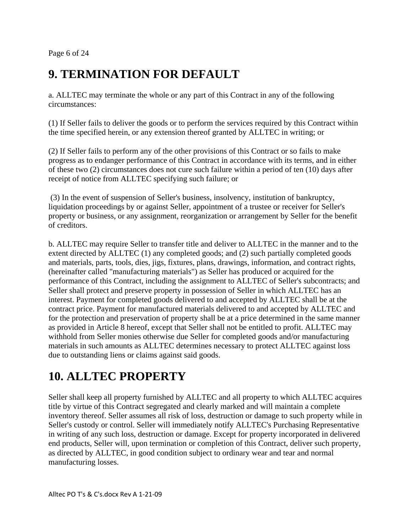Page 6 of 24

### **9. TERMINATION FOR DEFAULT**

a. ALLTEC may terminate the whole or any part of this Contract in any of the following circumstances:

(1) If Seller fails to deliver the goods or to perform the services required by this Contract within the time specified herein, or any extension thereof granted by ALLTEC in writing; or

(2) If Seller fails to perform any of the other provisions of this Contract or so fails to make progress as to endanger performance of this Contract in accordance with its terms, and in either of these two (2) circumstances does not cure such failure within a period of ten (10) days after receipt of notice from ALLTEC specifying such failure; or

 (3) In the event of suspension of Seller's business, insolvency, institution of bankruptcy, liquidation proceedings by or against Seller, appointment of a trustee or receiver for Seller's property or business, or any assignment, reorganization or arrangement by Seller for the benefit of creditors.

b. ALLTEC may require Seller to transfer title and deliver to ALLTEC in the manner and to the extent directed by ALLTEC (1) any completed goods; and (2) such partially completed goods and materials, parts, tools, dies, jigs, fixtures, plans, drawings, information, and contract rights, (hereinafter called "manufacturing materials") as Seller has produced or acquired for the performance of this Contract, including the assignment to ALLTEC of Seller's subcontracts; and Seller shall protect and preserve property in possession of Seller in which ALLTEC has an interest. Payment for completed goods delivered to and accepted by ALLTEC shall be at the contract price. Payment for manufactured materials delivered to and accepted by ALLTEC and for the protection and preservation of property shall be at a price determined in the same manner as provided in Article 8 hereof, except that Seller shall not be entitled to profit. ALLTEC may withhold from Seller monies otherwise due Seller for completed goods and/or manufacturing materials in such amounts as ALLTEC determines necessary to protect ALLTEC against loss due to outstanding liens or claims against said goods.

# **10. ALLTEC PROPERTY**

Seller shall keep all property furnished by ALLTEC and all property to which ALLTEC acquires title by virtue of this Contract segregated and clearly marked and will maintain a complete inventory thereof. Seller assumes all risk of loss, destruction or damage to such property while in Seller's custody or control. Seller will immediately notify ALLTEC's Purchasing Representative in writing of any such loss, destruction or damage. Except for property incorporated in delivered end products, Seller will, upon termination or completion of this Contract, deliver such property, as directed by ALLTEC, in good condition subject to ordinary wear and tear and normal manufacturing losses.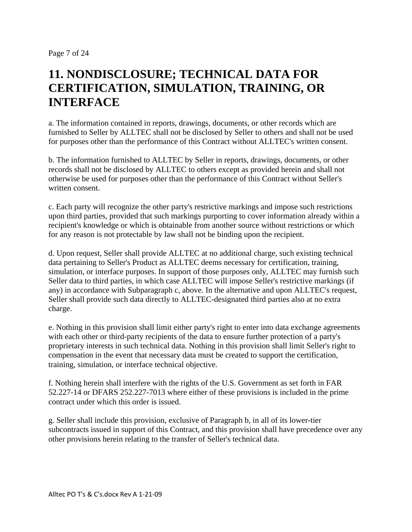Page 7 of 24

### **11. NONDISCLOSURE; TECHNICAL DATA FOR CERTIFICATION, SIMULATION, TRAINING, OR INTERFACE**

a. The information contained in reports, drawings, documents, or other records which are furnished to Seller by ALLTEC shall not be disclosed by Seller to others and shall not be used for purposes other than the performance of this Contract without ALLTEC's written consent.

b. The information furnished to ALLTEC by Seller in reports, drawings, documents, or other records shall not be disclosed by ALLTEC to others except as provided herein and shall not otherwise be used for purposes other than the performance of this Contract without Seller's written consent.

c. Each party will recognize the other party's restrictive markings and impose such restrictions upon third parties, provided that such markings purporting to cover information already within a recipient's knowledge or which is obtainable from another source without restrictions or which for any reason is not protectable by law shall not be binding upon the recipient.

d. Upon request, Seller shall provide ALLTEC at no additional charge, such existing technical data pertaining to Seller's Product as ALLTEC deems necessary for certification, training, simulation, or interface purposes. In support of those purposes only, ALLTEC may furnish such Seller data to third parties, in which case ALLTEC will impose Seller's restrictive markings (if any) in accordance with Subparagraph c, above. In the alternative and upon ALLTEC's request, Seller shall provide such data directly to ALLTEC-designated third parties also at no extra charge.

e. Nothing in this provision shall limit either party's right to enter into data exchange agreements with each other or third-party recipients of the data to ensure further protection of a party's proprietary interests in such technical data. Nothing in this provision shall limit Seller's right to compensation in the event that necessary data must be created to support the certification, training, simulation, or interface technical objective.

f. Nothing herein shall interfere with the rights of the U.S. Government as set forth in FAR 52.227-14 or DFARS 252.227-7013 where either of these provisions is included in the prime contract under which this order is issued.

g. Seller shall include this provision, exclusive of Paragraph b, in all of its lower-tier subcontracts issued in support of this Contract, and this provision shall have precedence over any other provisions herein relating to the transfer of Seller's technical data.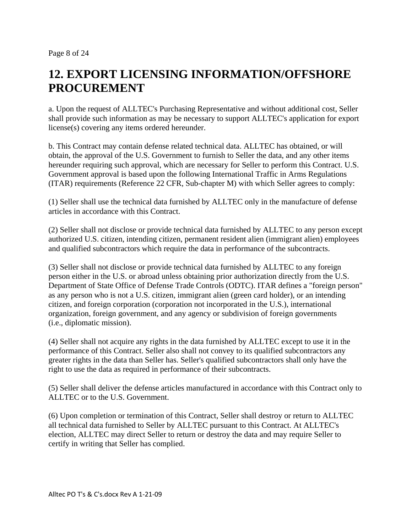Page 8 of 24

### **12. EXPORT LICENSING INFORMATION/OFFSHORE PROCUREMENT**

a. Upon the request of ALLTEC's Purchasing Representative and without additional cost, Seller shall provide such information as may be necessary to support ALLTEC's application for export license(s) covering any items ordered hereunder.

b. This Contract may contain defense related technical data. ALLTEC has obtained, or will obtain, the approval of the U.S. Government to furnish to Seller the data, and any other items hereunder requiring such approval, which are necessary for Seller to perform this Contract. U.S. Government approval is based upon the following International Traffic in Arms Regulations (ITAR) requirements (Reference 22 CFR, Sub-chapter M) with which Seller agrees to comply:

(1) Seller shall use the technical data furnished by ALLTEC only in the manufacture of defense articles in accordance with this Contract.

(2) Seller shall not disclose or provide technical data furnished by ALLTEC to any person except authorized U.S. citizen, intending citizen, permanent resident alien (immigrant alien) employees and qualified subcontractors which require the data in performance of the subcontracts.

(3) Seller shall not disclose or provide technical data furnished by ALLTEC to any foreign person either in the U.S. or abroad unless obtaining prior authorization directly from the U.S. Department of State Office of Defense Trade Controls (ODTC). ITAR defines a "foreign person" as any person who is not a U.S. citizen, immigrant alien (green card holder), or an intending citizen, and foreign corporation (corporation not incorporated in the U.S.), international organization, foreign government, and any agency or subdivision of foreign governments (i.e., diplomatic mission).

(4) Seller shall not acquire any rights in the data furnished by ALLTEC except to use it in the performance of this Contract. Seller also shall not convey to its qualified subcontractors any greater rights in the data than Seller has. Seller's qualified subcontractors shall only have the right to use the data as required in performance of their subcontracts.

(5) Seller shall deliver the defense articles manufactured in accordance with this Contract only to ALLTEC or to the U.S. Government.

(6) Upon completion or termination of this Contract, Seller shall destroy or return to ALLTEC all technical data furnished to Seller by ALLTEC pursuant to this Contract. At ALLTEC's election, ALLTEC may direct Seller to return or destroy the data and may require Seller to certify in writing that Seller has complied.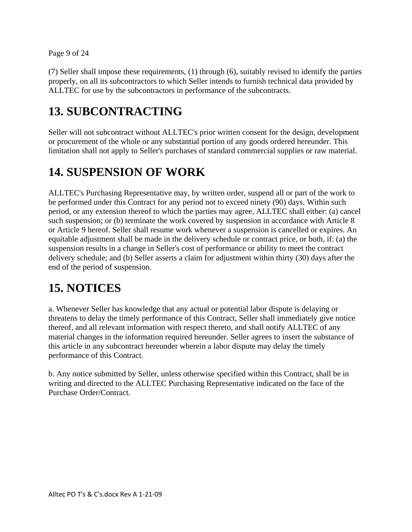#### Page 9 of 24

(7) Seller shall impose these requirements, (1) through (6), suitably revised to identify the parties properly, on all its subcontractors to which Seller intends to furnish technical data provided by ALLTEC for use by the subcontractors in performance of the subcontracts.

# **13. SUBCONTRACTING**

Seller will not subcontract without ALLTEC's prior written consent for the design, development or procurement of the whole or any substantial portion of any goods ordered hereunder. This limitation shall not apply to Seller's purchases of standard commercial supplies or raw material.

#### **14. SUSPENSION OF WORK**

ALLTEC's Purchasing Representative may, by written order, suspend all or part of the work to be performed under this Contract for any period not to exceed ninety (90) days. Within such period, or any extension thereof to which the parties may agree, ALLTEC shall either: (a) cancel such suspension; or (b) terminate the work covered by suspension in accordance with Article 8 or Article 9 hereof. Seller shall resume work whenever a suspension is cancelled or expires. An equitable adjustment shall be made in the delivery schedule or contract price, or both, if: (a) the suspension results in a change in Seller's cost of performance or ability to meet the contract delivery schedule; and (b) Seller asserts a claim for adjustment within thirty (30) days after the end of the period of suspension.

#### **15. NOTICES**

a. Whenever Seller has knowledge that any actual or potential labor dispute is delaying or threatens to delay the timely performance of this Contract, Seller shall immediately give notice thereof, and all relevant information with respect thereto, and shall notify ALLTEC of any material changes in the information required hereunder. Seller agrees to insert the substance of this article in any subcontract hereunder wherein a labor dispute may delay the timely performance of this Contract.

b. Any notice submitted by Seller, unless otherwise specified within this Contract, shall be in writing and directed to the ALLTEC Purchasing Representative indicated on the face of the Purchase Order/Contract.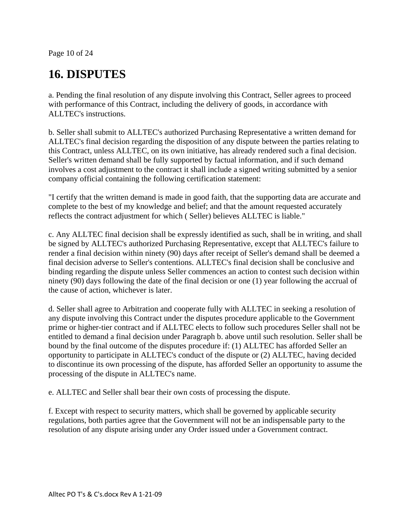Page 10 of 24

# **16. DISPUTES**

a. Pending the final resolution of any dispute involving this Contract, Seller agrees to proceed with performance of this Contract, including the delivery of goods, in accordance with ALLTEC's instructions.

b. Seller shall submit to ALLTEC's authorized Purchasing Representative a written demand for ALLTEC's final decision regarding the disposition of any dispute between the parties relating to this Contract, unless ALLTEC, on its own initiative, has already rendered such a final decision. Seller's written demand shall be fully supported by factual information, and if such demand involves a cost adjustment to the contract it shall include a signed writing submitted by a senior company official containing the following certification statement:

"I certify that the written demand is made in good faith, that the supporting data are accurate and complete to the best of my knowledge and belief; and that the amount requested accurately reflects the contract adjustment for which ( Seller) believes ALLTEC is liable."

c. Any ALLTEC final decision shall be expressly identified as such, shall be in writing, and shall be signed by ALLTEC's authorized Purchasing Representative, except that ALLTEC's failure to render a final decision within ninety (90) days after receipt of Seller's demand shall be deemed a final decision adverse to Seller's contentions. ALLTEC's final decision shall be conclusive and binding regarding the dispute unless Seller commences an action to contest such decision within ninety (90) days following the date of the final decision or one (1) year following the accrual of the cause of action, whichever is later.

d. Seller shall agree to Arbitration and cooperate fully with ALLTEC in seeking a resolution of any dispute involving this Contract under the disputes procedure applicable to the Government prime or higher-tier contract and if ALLTEC elects to follow such procedures Seller shall not be entitled to demand a final decision under Paragraph b. above until such resolution. Seller shall be bound by the final outcome of the disputes procedure if: (1) ALLTEC has afforded Seller an opportunity to participate in ALLTEC's conduct of the dispute or (2) ALLTEC, having decided to discontinue its own processing of the dispute, has afforded Seller an opportunity to assume the processing of the dispute in ALLTEC's name.

e. ALLTEC and Seller shall bear their own costs of processing the dispute.

f. Except with respect to security matters, which shall be governed by applicable security regulations, both parties agree that the Government will not be an indispensable party to the resolution of any dispute arising under any Order issued under a Government contract.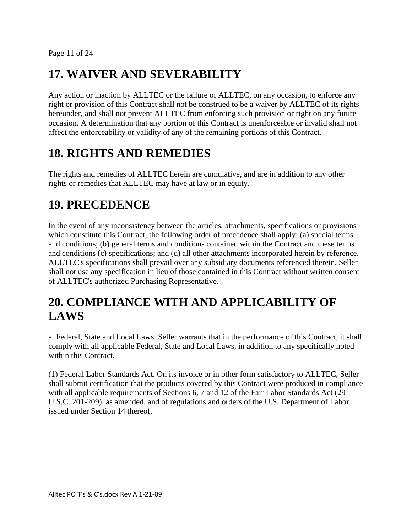Page 11 of 24

# **17. WAIVER AND SEVERABILITY**

Any action or inaction by ALLTEC or the failure of ALLTEC, on any occasion, to enforce any right or provision of this Contract shall not be construed to be a waiver by ALLTEC of its rights hereunder, and shall not prevent ALLTEC from enforcing such provision or right on any future occasion. A determination that any portion of this Contract is unenforceable or invalid shall not affect the enforceability or validity of any of the remaining portions of this Contract.

# **18. RIGHTS AND REMEDIES**

The rights and remedies of ALLTEC herein are cumulative, and are in addition to any other rights or remedies that ALLTEC may have at law or in equity.

# **19. PRECEDENCE**

In the event of any inconsistency between the articles, attachments, specifications or provisions which constitute this Contract, the following order of precedence shall apply: (a) special terms and conditions; (b) general terms and conditions contained within the Contract and these terms and conditions (c) specifications; and (d) all other attachments incorporated herein by reference. ALLTEC's specifications shall prevail over any subsidiary documents referenced therein. Seller shall not use any specification in lieu of those contained in this Contract without written consent of ALLTEC's authorized Purchasing Representative.

#### **20. COMPLIANCE WITH AND APPLICABILITY OF LAWS**

a. Federal, State and Local Laws. Seller warrants that in the performance of this Contract, it shall comply with all applicable Federal, State and Local Laws, in addition to any specifically noted within this Contract.

(1) Federal Labor Standards Act. On its invoice or in other form satisfactory to ALLTEC, Seller shall submit certification that the products covered by this Contract were produced in compliance with all applicable requirements of Sections 6, 7 and 12 of the Fair Labor Standards Act (29 U.S.C. 201-209), as amended, and of regulations and orders of the U.S. Department of Labor issued under Section 14 thereof.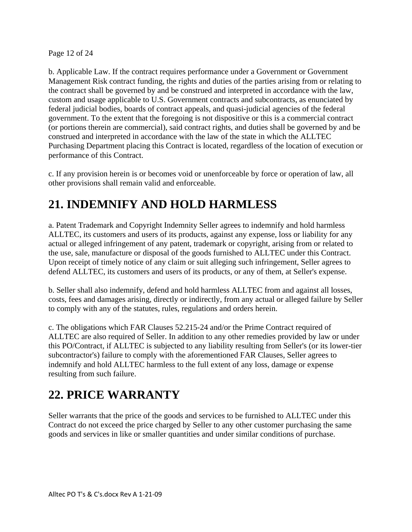Page 12 of 24

b. Applicable Law. If the contract requires performance under a Government or Government Management Risk contract funding, the rights and duties of the parties arising from or relating to the contract shall be governed by and be construed and interpreted in accordance with the law, custom and usage applicable to U.S. Government contracts and subcontracts, as enunciated by federal judicial bodies, boards of contract appeals, and quasi-judicial agencies of the federal government. To the extent that the foregoing is not dispositive or this is a commercial contract (or portions therein are commercial), said contract rights, and duties shall be governed by and be construed and interpreted in accordance with the law of the state in which the ALLTEC Purchasing Department placing this Contract is located, regardless of the location of execution or performance of this Contract.

c. If any provision herein is or becomes void or unenforceable by force or operation of law, all other provisions shall remain valid and enforceable.

# **21. INDEMNIFY AND HOLD HARMLESS**

a. Patent Trademark and Copyright Indemnity Seller agrees to indemnify and hold harmless ALLTEC, its customers and users of its products, against any expense, loss or liability for any actual or alleged infringement of any patent, trademark or copyright, arising from or related to the use, sale, manufacture or disposal of the goods furnished to ALLTEC under this Contract. Upon receipt of timely notice of any claim or suit alleging such infringement, Seller agrees to defend ALLTEC, its customers and users of its products, or any of them, at Seller's expense.

b. Seller shall also indemnify, defend and hold harmless ALLTEC from and against all losses, costs, fees and damages arising, directly or indirectly, from any actual or alleged failure by Seller to comply with any of the statutes, rules, regulations and orders herein.

c. The obligations which FAR Clauses 52.215-24 and/or the Prime Contract required of ALLTEC are also required of Seller. In addition to any other remedies provided by law or under this PO/Contract, if ALLTEC is subjected to any liability resulting from Seller's (or its lower-tier subcontractor's) failure to comply with the aforementioned FAR Clauses, Seller agrees to indemnify and hold ALLTEC harmless to the full extent of any loss, damage or expense resulting from such failure.

# **22. PRICE WARRANTY**

Seller warrants that the price of the goods and services to be furnished to ALLTEC under this Contract do not exceed the price charged by Seller to any other customer purchasing the same goods and services in like or smaller quantities and under similar conditions of purchase.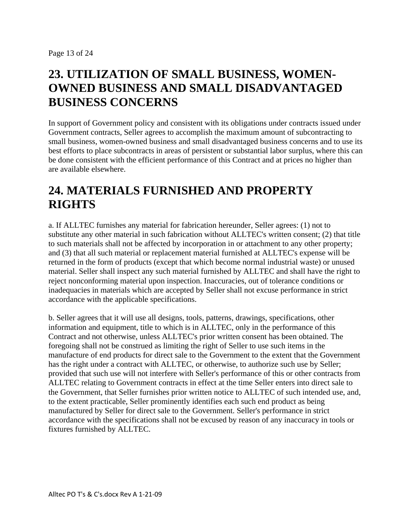### **23. UTILIZATION OF SMALL BUSINESS, WOMEN-OWNED BUSINESS AND SMALL DISADVANTAGED BUSINESS CONCERNS**

In support of Government policy and consistent with its obligations under contracts issued under Government contracts, Seller agrees to accomplish the maximum amount of subcontracting to small business, women-owned business and small disadvantaged business concerns and to use its best efforts to place subcontracts in areas of persistent or substantial labor surplus, where this can be done consistent with the efficient performance of this Contract and at prices no higher than are available elsewhere.

# **24. MATERIALS FURNISHED AND PROPERTY RIGHTS**

a. If ALLTEC furnishes any material for fabrication hereunder, Seller agrees: (1) not to substitute any other material in such fabrication without ALLTEC's written consent; (2) that title to such materials shall not be affected by incorporation in or attachment to any other property; and (3) that all such material or replacement material furnished at ALLTEC's expense will be returned in the form of products (except that which become normal industrial waste) or unused material. Seller shall inspect any such material furnished by ALLTEC and shall have the right to reject nonconforming material upon inspection. Inaccuracies, out of tolerance conditions or inadequacies in materials which are accepted by Seller shall not excuse performance in strict accordance with the applicable specifications.

b. Seller agrees that it will use all designs, tools, patterns, drawings, specifications, other information and equipment, title to which is in ALLTEC, only in the performance of this Contract and not otherwise, unless ALLTEC's prior written consent has been obtained. The foregoing shall not be construed as limiting the right of Seller to use such items in the manufacture of end products for direct sale to the Government to the extent that the Government has the right under a contract with ALLTEC, or otherwise, to authorize such use by Seller; provided that such use will not interfere with Seller's performance of this or other contracts from ALLTEC relating to Government contracts in effect at the time Seller enters into direct sale to the Government, that Seller furnishes prior written notice to ALLTEC of such intended use, and, to the extent practicable, Seller prominently identifies each such end product as being manufactured by Seller for direct sale to the Government. Seller's performance in strict accordance with the specifications shall not be excused by reason of any inaccuracy in tools or fixtures furnished by ALLTEC.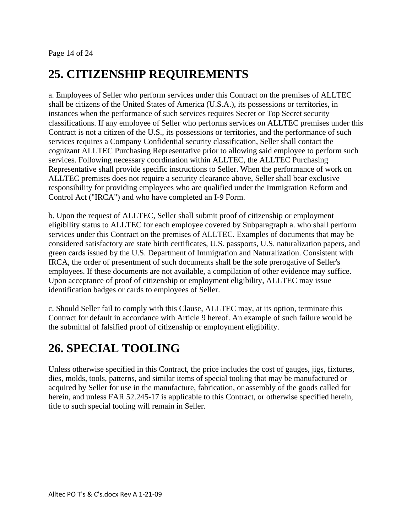Page 14 of 24

# **25. CITIZENSHIP REQUIREMENTS**

a. Employees of Seller who perform services under this Contract on the premises of ALLTEC shall be citizens of the United States of America (U.S.A.), its possessions or territories, in instances when the performance of such services requires Secret or Top Secret security classifications. If any employee of Seller who performs services on ALLTEC premises under this Contract is not a citizen of the U.S., its possessions or territories, and the performance of such services requires a Company Confidential security classification, Seller shall contact the cognizant ALLTEC Purchasing Representative prior to allowing said employee to perform such services. Following necessary coordination within ALLTEC, the ALLTEC Purchasing Representative shall provide specific instructions to Seller. When the performance of work on ALLTEC premises does not require a security clearance above, Seller shall bear exclusive responsibility for providing employees who are qualified under the Immigration Reform and Control Act ("IRCA") and who have completed an I-9 Form.

b. Upon the request of ALLTEC, Seller shall submit proof of citizenship or employment eligibility status to ALLTEC for each employee covered by Subparagraph a. who shall perform services under this Contract on the premises of ALLTEC. Examples of documents that may be considered satisfactory are state birth certificates, U.S. passports, U.S. naturalization papers, and green cards issued by the U.S. Department of Immigration and Naturalization. Consistent with IRCA, the order of presentment of such documents shall be the sole prerogative of Seller's employees. If these documents are not available, a compilation of other evidence may suffice. Upon acceptance of proof of citizenship or employment eligibility, ALLTEC may issue identification badges or cards to employees of Seller.

c. Should Seller fail to comply with this Clause, ALLTEC may, at its option, terminate this Contract for default in accordance with Article 9 hereof. An example of such failure would be the submittal of falsified proof of citizenship or employment eligibility.

#### **26. SPECIAL TOOLING**

Unless otherwise specified in this Contract, the price includes the cost of gauges, jigs, fixtures, dies, molds, tools, patterns, and similar items of special tooling that may be manufactured or acquired by Seller for use in the manufacture, fabrication, or assembly of the goods called for herein, and unless FAR 52.245-17 is applicable to this Contract, or otherwise specified herein, title to such special tooling will remain in Seller.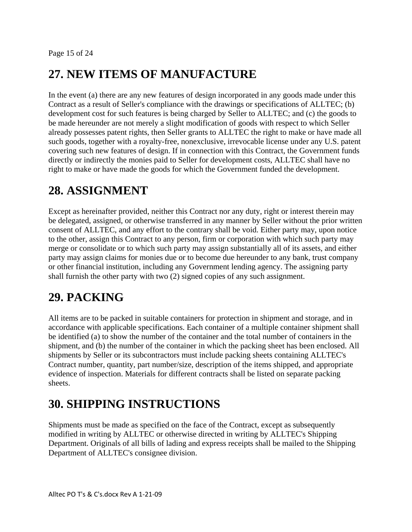Page 15 of 24

# **27. NEW ITEMS OF MANUFACTURE**

In the event (a) there are any new features of design incorporated in any goods made under this Contract as a result of Seller's compliance with the drawings or specifications of ALLTEC; (b) development cost for such features is being charged by Seller to ALLTEC; and (c) the goods to be made hereunder are not merely a slight modification of goods with respect to which Seller already possesses patent rights, then Seller grants to ALLTEC the right to make or have made all such goods, together with a royalty-free, nonexclusive, irrevocable license under any U.S. patent covering such new features of design. If in connection with this Contract, the Government funds directly or indirectly the monies paid to Seller for development costs, ALLTEC shall have no right to make or have made the goods for which the Government funded the development.

#### **28. ASSIGNMENT**

Except as hereinafter provided, neither this Contract nor any duty, right or interest therein may be delegated, assigned, or otherwise transferred in any manner by Seller without the prior written consent of ALLTEC, and any effort to the contrary shall be void. Either party may, upon notice to the other, assign this Contract to any person, firm or corporation with which such party may merge or consolidate or to which such party may assign substantially all of its assets, and either party may assign claims for monies due or to become due hereunder to any bank, trust company or other financial institution, including any Government lending agency. The assigning party shall furnish the other party with two (2) signed copies of any such assignment.

# **29. PACKING**

All items are to be packed in suitable containers for protection in shipment and storage, and in accordance with applicable specifications. Each container of a multiple container shipment shall be identified (a) to show the number of the container and the total number of containers in the shipment, and (b) the number of the container in which the packing sheet has been enclosed. All shipments by Seller or its subcontractors must include packing sheets containing ALLTEC's Contract number, quantity, part number/size, description of the items shipped, and appropriate evidence of inspection. Materials for different contracts shall be listed on separate packing sheets.

#### **30. SHIPPING INSTRUCTIONS**

Shipments must be made as specified on the face of the Contract, except as subsequently modified in writing by ALLTEC or otherwise directed in writing by ALLTEC's Shipping Department. Originals of all bills of lading and express receipts shall be mailed to the Shipping Department of ALLTEC's consignee division.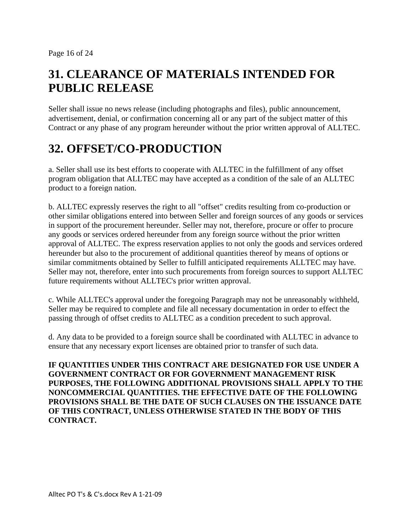Page 16 of 24

# **31. CLEARANCE OF MATERIALS INTENDED FOR PUBLIC RELEASE**

Seller shall issue no news release (including photographs and files), public announcement, advertisement, denial, or confirmation concerning all or any part of the subject matter of this Contract or any phase of any program hereunder without the prior written approval of ALLTEC.

#### **32. OFFSET/CO-PRODUCTION**

a. Seller shall use its best efforts to cooperate with ALLTEC in the fulfillment of any offset program obligation that ALLTEC may have accepted as a condition of the sale of an ALLTEC product to a foreign nation.

b. ALLTEC expressly reserves the right to all "offset" credits resulting from co-production or other similar obligations entered into between Seller and foreign sources of any goods or services in support of the procurement hereunder. Seller may not, therefore, procure or offer to procure any goods or services ordered hereunder from any foreign source without the prior written approval of ALLTEC. The express reservation applies to not only the goods and services ordered hereunder but also to the procurement of additional quantities thereof by means of options or similar commitments obtained by Seller to fulfill anticipated requirements ALLTEC may have. Seller may not, therefore, enter into such procurements from foreign sources to support ALLTEC future requirements without ALLTEC's prior written approval.

c. While ALLTEC's approval under the foregoing Paragraph may not be unreasonably withheld, Seller may be required to complete and file all necessary documentation in order to effect the passing through of offset credits to ALLTEC as a condition precedent to such approval.

d. Any data to be provided to a foreign source shall be coordinated with ALLTEC in advance to ensure that any necessary export licenses are obtained prior to transfer of such data.

**IF QUANTITIES UNDER THIS CONTRACT ARE DESIGNATED FOR USE UNDER A GOVERNMENT CONTRACT OR FOR GOVERNMENT MANAGEMENT RISK PURPOSES, THE FOLLOWING ADDITIONAL PROVISIONS SHALL APPLY TO THE NONCOMMERCIAL QUANTITIES. THE EFFECTIVE DATE OF THE FOLLOWING PROVISIONS SHALL BE THE DATE OF SUCH CLAUSES ON THE ISSUANCE DATE OF THIS CONTRACT, UNLESS OTHERWISE STATED IN THE BODY OF THIS CONTRACT.**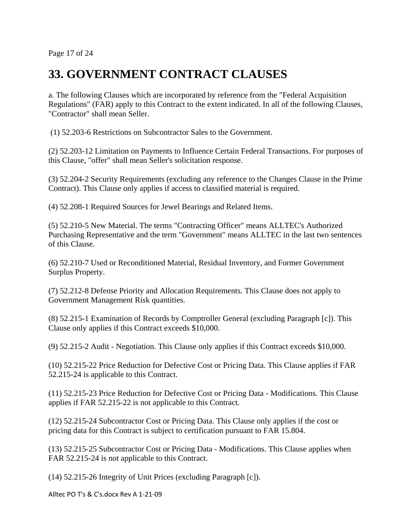Page 17 of 24

#### **33. GOVERNMENT CONTRACT CLAUSES**

a. The following Clauses which are incorporated by reference from the "Federal Acquisition Regulations" (FAR) apply to this Contract to the extent indicated. In all of the following Clauses, "Contractor" shall mean Seller.

(1) 52.203-6 Restrictions on Subcontractor Sales to the Government.

(2) 52.203-12 Limitation on Payments to Influence Certain Federal Transactions. For purposes of this Clause, "offer" shall mean Seller's solicitation response.

(3) 52.204-2 Security Requirements (excluding any reference to the Changes Clause in the Prime Contract). This Clause only applies if access to classified material is required.

(4) 52.208-1 Required Sources for Jewel Bearings and Related Items.

(5) 52.210-5 New Material. The terms "Contracting Officer" means ALLTEC's Authorized Purchasing Representative and the term "Government" means ALLTEC in the last two sentences of this Clause.

(6) 52.210-7 Used or Reconditioned Material, Residual Inventory, and Former Government Surplus Property.

(7) 52.212-8 Defense Priority and Allocation Requirements. This Clause does not apply to Government Management Risk quantities.

(8) 52.215-1 Examination of Records by Comptroller General (excluding Paragraph [c]). This Clause only applies if this Contract exceeds \$10,000.

(9) 52.215-2 Audit - Negotiation. This Clause only applies if this Contract exceeds \$10,000.

(10) 52.215-22 Price Reduction for Defective Cost or Pricing Data. This Clause applies if FAR 52.215-24 is applicable to this Contract.

(11) 52.215-23 Price Reduction for Defective Cost or Pricing Data - Modifications. This Clause applies if FAR 52.215-22 is not applicable to this Contract.

(12) 52.215-24 Subcontractor Cost or Pricing Data. This Clause only applies if the cost or pricing data for this Contract is subject to certification pursuant to FAR 15.804.

(13) 52.215-25 Subcontractor Cost or Pricing Data - Modifications. This Clause applies when FAR 52.215-24 is not applicable to this Contract.

(14) 52.215-26 Integrity of Unit Prices (excluding Paragraph [c]).

Alltec PO T's & C's.docx Rev A 1‐21‐09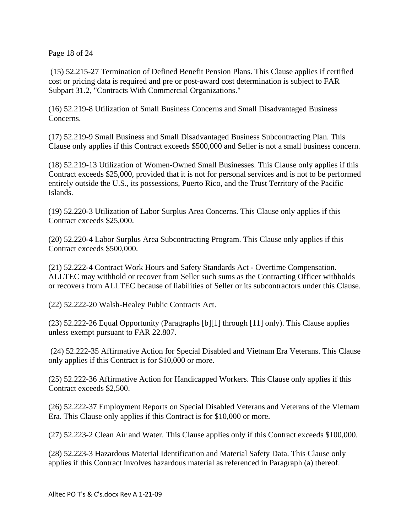Page 18 of 24

 (15) 52.215-27 Termination of Defined Benefit Pension Plans. This Clause applies if certified cost or pricing data is required and pre or post-award cost determination is subject to FAR Subpart 31.2, "Contracts With Commercial Organizations."

(16) 52.219-8 Utilization of Small Business Concerns and Small Disadvantaged Business Concerns.

(17) 52.219-9 Small Business and Small Disadvantaged Business Subcontracting Plan. This Clause only applies if this Contract exceeds \$500,000 and Seller is not a small business concern.

(18) 52.219-13 Utilization of Women-Owned Small Businesses. This Clause only applies if this Contract exceeds \$25,000, provided that it is not for personal services and is not to be performed entirely outside the U.S., its possessions, Puerto Rico, and the Trust Territory of the Pacific Islands.

(19) 52.220-3 Utilization of Labor Surplus Area Concerns. This Clause only applies if this Contract exceeds \$25,000.

(20) 52.220-4 Labor Surplus Area Subcontracting Program. This Clause only applies if this Contract exceeds \$500,000.

(21) 52.222-4 Contract Work Hours and Safety Standards Act - Overtime Compensation. ALLTEC may withhold or recover from Seller such sums as the Contracting Officer withholds or recovers from ALLTEC because of liabilities of Seller or its subcontractors under this Clause.

(22) 52.222-20 Walsh-Healey Public Contracts Act.

(23) 52.222-26 Equal Opportunity (Paragraphs [b][1] through [11] only). This Clause applies unless exempt pursuant to FAR 22.807.

 (24) 52.222-35 Affirmative Action for Special Disabled and Vietnam Era Veterans. This Clause only applies if this Contract is for \$10,000 or more.

(25) 52.222-36 Affirmative Action for Handicapped Workers. This Clause only applies if this Contract exceeds \$2,500.

(26) 52.222-37 Employment Reports on Special Disabled Veterans and Veterans of the Vietnam Era. This Clause only applies if this Contract is for \$10,000 or more.

(27) 52.223-2 Clean Air and Water. This Clause applies only if this Contract exceeds \$100,000.

(28) 52.223-3 Hazardous Material Identification and Material Safety Data. This Clause only applies if this Contract involves hazardous material as referenced in Paragraph (a) thereof.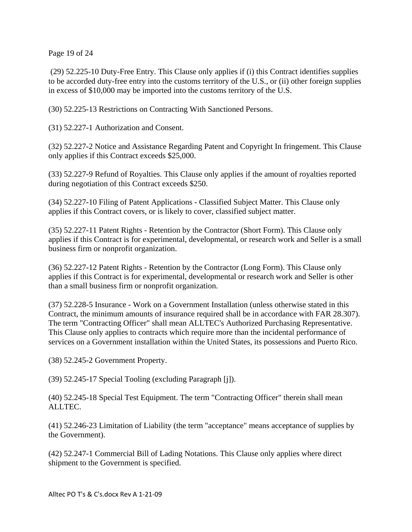Page 19 of 24

 (29) 52.225-10 Duty-Free Entry. This Clause only applies if (i) this Contract identifies supplies to be accorded duty-free entry into the customs territory of the U.S., or (ii) other foreign supplies in excess of \$10,000 may be imported into the customs territory of the U.S.

(30) 52.225-13 Restrictions on Contracting With Sanctioned Persons.

(31) 52.227-1 Authorization and Consent.

(32) 52.227-2 Notice and Assistance Regarding Patent and Copyright In fringement. This Clause only applies if this Contract exceeds \$25,000.

(33) 52.227-9 Refund of Royalties. This Clause only applies if the amount of royalties reported during negotiation of this Contract exceeds \$250.

(34) 52.227-10 Filing of Patent Applications - Classified Subject Matter. This Clause only applies if this Contract covers, or is likely to cover, classified subject matter.

(35) 52.227-11 Patent Rights - Retention by the Contractor (Short Form). This Clause only applies if this Contract is for experimental, developmental, or research work and Seller is a small business firm or nonprofit organization.

(36) 52.227-12 Patent Rights - Retention by the Contractor (Long Form). This Clause only applies if this Contract is for experimental, developmental or research work and Seller is other than a small business firm or nonprofit organization.

(37) 52.228-5 Insurance - Work on a Government Installation (unless otherwise stated in this Contract, the minimum amounts of insurance required shall be in accordance with FAR 28.307). The term "Contracting Officer" shall mean ALLTEC's Authorized Purchasing Representative. This Clause only applies to contracts which require more than the incidental performance of services on a Government installation within the United States, its possessions and Puerto Rico.

(38) 52.245-2 Government Property.

(39) 52.245-17 Special Tooling (excluding Paragraph [j]).

(40) 52.245-18 Special Test Equipment. The term "Contracting Officer" therein shall mean ALLTEC.

(41) 52.246-23 Limitation of Liability (the term "acceptance" means acceptance of supplies by the Government).

(42) 52.247-1 Commercial Bill of Lading Notations. This Clause only applies where direct shipment to the Government is specified.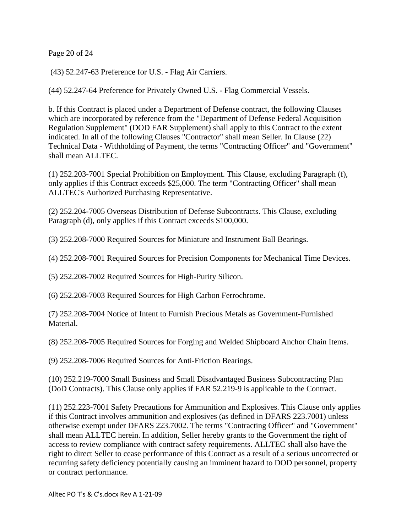Page 20 of 24

(43) 52.247-63 Preference for U.S. - Flag Air Carriers.

(44) 52.247-64 Preference for Privately Owned U.S. - Flag Commercial Vessels.

b. If this Contract is placed under a Department of Defense contract, the following Clauses which are incorporated by reference from the "Department of Defense Federal Acquisition Regulation Supplement" (DOD FAR Supplement) shall apply to this Contract to the extent indicated. In all of the following Clauses "Contractor" shall mean Seller. In Clause (22) Technical Data - Withholding of Payment, the terms "Contracting Officer" and "Government" shall mean ALLTEC.

(1) 252.203-7001 Special Prohibition on Employment. This Clause, excluding Paragraph (f), only applies if this Contract exceeds \$25,000. The term "Contracting Officer" shall mean ALLTEC's Authorized Purchasing Representative.

(2) 252.204-7005 Overseas Distribution of Defense Subcontracts. This Clause, excluding Paragraph (d), only applies if this Contract exceeds \$100,000.

(3) 252.208-7000 Required Sources for Miniature and Instrument Ball Bearings.

(4) 252.208-7001 Required Sources for Precision Components for Mechanical Time Devices.

(5) 252.208-7002 Required Sources for High-Purity Silicon.

(6) 252.208-7003 Required Sources for High Carbon Ferrochrome.

(7) 252.208-7004 Notice of Intent to Furnish Precious Metals as Government-Furnished **Material** 

(8) 252.208-7005 Required Sources for Forging and Welded Shipboard Anchor Chain Items.

(9) 252.208-7006 Required Sources for Anti-Friction Bearings.

(10) 252.219-7000 Small Business and Small Disadvantaged Business Subcontracting Plan (DoD Contracts). This Clause only applies if FAR 52.219-9 is applicable to the Contract.

(11) 252.223-7001 Safety Precautions for Ammunition and Explosives. This Clause only applies if this Contract involves ammunition and explosives (as defined in DFARS 223.7001) unless otherwise exempt under DFARS 223.7002. The terms "Contracting Officer" and "Government" shall mean ALLTEC herein. In addition, Seller hereby grants to the Government the right of access to review compliance with contract safety requirements. ALLTEC shall also have the right to direct Seller to cease performance of this Contract as a result of a serious uncorrected or recurring safety deficiency potentially causing an imminent hazard to DOD personnel, property or contract performance.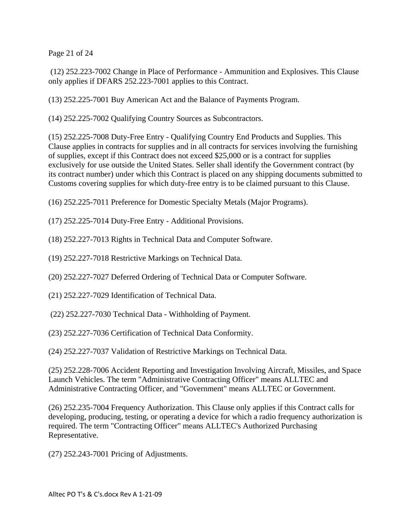Page 21 of 24

 (12) 252.223-7002 Change in Place of Performance - Ammunition and Explosives. This Clause only applies if DFARS 252.223-7001 applies to this Contract.

(13) 252.225-7001 Buy American Act and the Balance of Payments Program.

(14) 252.225-7002 Qualifying Country Sources as Subcontractors.

(15) 252.225-7008 Duty-Free Entry - Qualifying Country End Products and Supplies. This Clause applies in contracts for supplies and in all contracts for services involving the furnishing of supplies, except if this Contract does not exceed \$25,000 or is a contract for supplies exclusively for use outside the United States. Seller shall identify the Government contract (by its contract number) under which this Contract is placed on any shipping documents submitted to Customs covering supplies for which duty-free entry is to be claimed pursuant to this Clause.

(16) 252.225-7011 Preference for Domestic Specialty Metals (Major Programs).

(17) 252.225-7014 Duty-Free Entry - Additional Provisions.

(18) 252.227-7013 Rights in Technical Data and Computer Software.

(19) 252.227-7018 Restrictive Markings on Technical Data.

(20) 252.227-7027 Deferred Ordering of Technical Data or Computer Software.

- (21) 252.227-7029 Identification of Technical Data.
- (22) 252.227-7030 Technical Data Withholding of Payment.

(23) 252.227-7036 Certification of Technical Data Conformity.

(24) 252.227-7037 Validation of Restrictive Markings on Technical Data.

(25) 252.228-7006 Accident Reporting and Investigation Involving Aircraft, Missiles, and Space Launch Vehicles. The term "Administrative Contracting Officer" means ALLTEC and Administrative Contracting Officer, and "Government" means ALLTEC or Government.

(26) 252.235-7004 Frequency Authorization. This Clause only applies if this Contract calls for developing, producing, testing, or operating a device for which a radio frequency authorization is required. The term "Contracting Officer" means ALLTEC's Authorized Purchasing Representative.

(27) 252.243-7001 Pricing of Adjustments.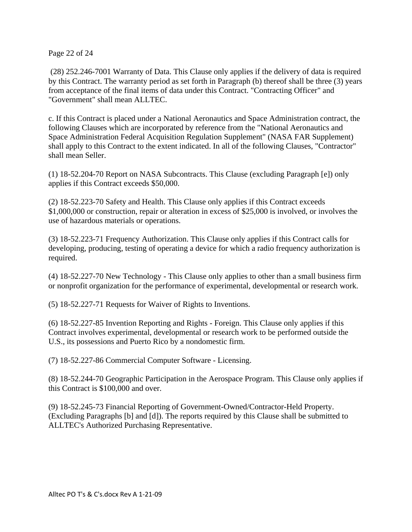Page 22 of 24

 (28) 252.246-7001 Warranty of Data. This Clause only applies if the delivery of data is required by this Contract. The warranty period as set forth in Paragraph (b) thereof shall be three (3) years from acceptance of the final items of data under this Contract. "Contracting Officer" and "Government" shall mean ALLTEC.

c. If this Contract is placed under a National Aeronautics and Space Administration contract, the following Clauses which are incorporated by reference from the "National Aeronautics and Space Administration Federal Acquisition Regulation Supplement" (NASA FAR Supplement) shall apply to this Contract to the extent indicated. In all of the following Clauses, "Contractor" shall mean Seller.

(1) 18-52.204-70 Report on NASA Subcontracts. This Clause (excluding Paragraph [e]) only applies if this Contract exceeds \$50,000.

(2) 18-52.223-70 Safety and Health. This Clause only applies if this Contract exceeds \$1,000,000 or construction, repair or alteration in excess of \$25,000 is involved, or involves the use of hazardous materials or operations.

(3) 18-52.223-71 Frequency Authorization. This Clause only applies if this Contract calls for developing, producing, testing of operating a device for which a radio frequency authorization is required.

(4) 18-52.227-70 New Technology - This Clause only applies to other than a small business firm or nonprofit organization for the performance of experimental, developmental or research work.

(5) 18-52.227-71 Requests for Waiver of Rights to Inventions.

(6) 18-52.227-85 Invention Reporting and Rights - Foreign. This Clause only applies if this Contract involves experimental, developmental or research work to be performed outside the U.S., its possessions and Puerto Rico by a nondomestic firm.

(7) 18-52.227-86 Commercial Computer Software - Licensing.

(8) 18-52.244-70 Geographic Participation in the Aerospace Program. This Clause only applies if this Contract is \$100,000 and over.

(9) 18-52.245-73 Financial Reporting of Government-Owned/Contractor-Held Property. (Excluding Paragraphs [b] and [d]). The reports required by this Clause shall be submitted to ALLTEC's Authorized Purchasing Representative.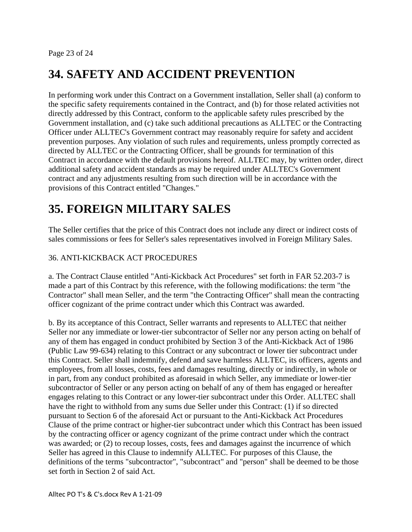# **34. SAFETY AND ACCIDENT PREVENTION**

In performing work under this Contract on a Government installation, Seller shall (a) conform to the specific safety requirements contained in the Contract, and (b) for those related activities not directly addressed by this Contract, conform to the applicable safety rules prescribed by the Government installation, and (c) take such additional precautions as ALLTEC or the Contracting Officer under ALLTEC's Government contract may reasonably require for safety and accident prevention purposes. Any violation of such rules and requirements, unless promptly corrected as directed by ALLTEC or the Contracting Officer, shall be grounds for termination of this Contract in accordance with the default provisions hereof. ALLTEC may, by written order, direct additional safety and accident standards as may be required under ALLTEC's Government contract and any adjustments resulting from such direction will be in accordance with the provisions of this Contract entitled "Changes."

# **35. FOREIGN MILITARY SALES**

The Seller certifies that the price of this Contract does not include any direct or indirect costs of sales commissions or fees for Seller's sales representatives involved in Foreign Military Sales.

#### 36. ANTI-KICKBACK ACT PROCEDURES

a. The Contract Clause entitled "Anti-Kickback Act Procedures" set forth in FAR 52.203-7 is made a part of this Contract by this reference, with the following modifications: the term "the Contractor" shall mean Seller, and the term "the Contracting Officer" shall mean the contracting officer cognizant of the prime contract under which this Contract was awarded.

b. By its acceptance of this Contract, Seller warrants and represents to ALLTEC that neither Seller nor any immediate or lower-tier subcontractor of Seller nor any person acting on behalf of any of them has engaged in conduct prohibited by Section 3 of the Anti-Kickback Act of 1986 (Public Law 99-634) relating to this Contract or any subcontract or lower tier subcontract under this Contract. Seller shall indemnify, defend and save harmless ALLTEC, its officers, agents and employees, from all losses, costs, fees and damages resulting, directly or indirectly, in whole or in part, from any conduct prohibited as aforesaid in which Seller, any immediate or lower-tier subcontractor of Seller or any person acting on behalf of any of them has engaged or hereafter engages relating to this Contract or any lower-tier subcontract under this Order. ALLTEC shall have the right to withhold from any sums due Seller under this Contract: (1) if so directed pursuant to Section 6 of the aforesaid Act or pursuant to the Anti-Kickback Act Procedures Clause of the prime contract or higher-tier subcontract under which this Contract has been issued by the contracting officer or agency cognizant of the prime contract under which the contract was awarded; or (2) to recoup losses, costs, fees and damages against the incurrence of which Seller has agreed in this Clause to indemnify ALLTEC. For purposes of this Clause, the definitions of the terms "subcontractor", "subcontract" and "person" shall be deemed to be those set forth in Section 2 of said Act.